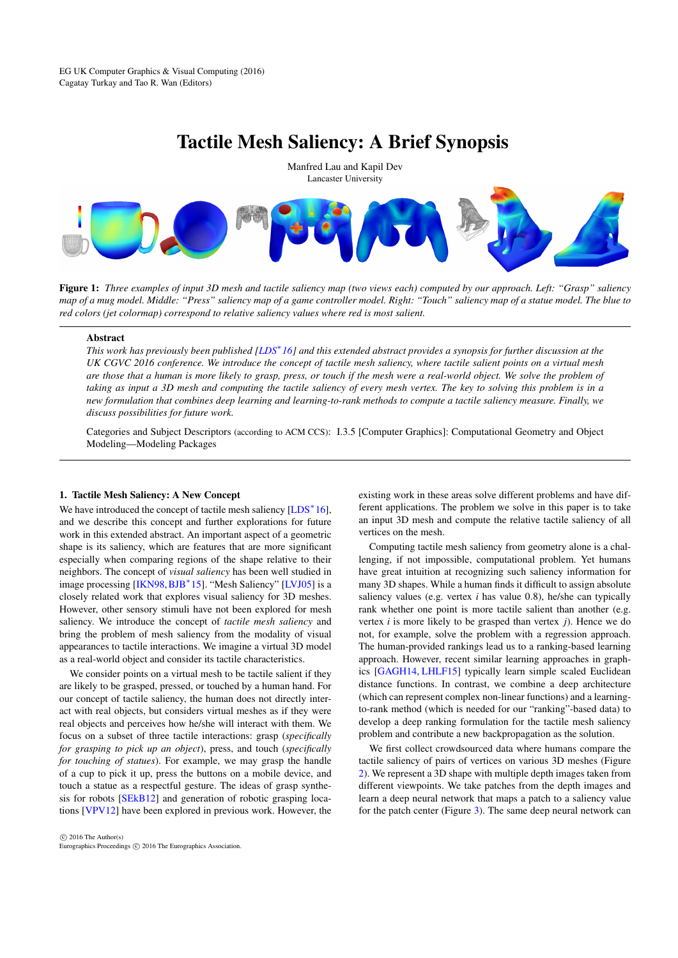# Tactile Mesh Saliency: A Brief Synopsis

<span id="page-0-0"></span>

Figure 1: *Three examples of input 3D mesh and tactile saliency map (two views each) computed by our approach. Left: "Grasp" saliency map of a mug model. Middle: "Press" saliency map of a game controller model. Right: "Touch" saliency map of a statue model. The blue to red colors (jet colormap) correspond to relative saliency values where red is most salient.*

## Abstract

*This work has previously been published [\[LDS](#page-1-0)*<sup>∗</sup> *16] and this extended abstract provides a synopsis for further discussion at the UK CGVC 2016 conference. We introduce the concept of tactile mesh saliency, where tactile salient points on a virtual mesh are those that a human is more likely to grasp, press, or touch if the mesh were a real-world object. We solve the problem of taking as input a 3D mesh and computing the tactile saliency of every mesh vertex. The key to solving this problem is in a new formulation that combines deep learning and learning-to-rank methods to compute a tactile saliency measure. Finally, we discuss possibilities for future work.*

Categories and Subject Descriptors (according to ACM CCS): I.3.5 [Computer Graphics]: Computational Geometry and Object Modeling—Modeling Packages

## 1. Tactile Mesh Saliency: A New Concept

We have introduced the concept of tactile mesh saliency  $[LDS^*16]$  $[LDS^*16]$ , and we describe this concept and further explorations for future work in this extended abstract. An important aspect of a geometric shape is its saliency, which are features that are more significant especially when comparing regions of the shape relative to their neighbors. The concept of *visual saliency* has been well studied in image processing [\[IKN98,](#page-1-1)[BJB](#page-1-2)<sup>∗</sup> 15]. "Mesh Saliency" [\[LVJ05\]](#page-1-3) is a closely related work that explores visual saliency for 3D meshes. However, other sensory stimuli have not been explored for mesh saliency. We introduce the concept of *tactile mesh saliency* and bring the problem of mesh saliency from the modality of visual appearances to tactile interactions. We imagine a virtual 3D model as a real-world object and consider its tactile characteristics.

We consider points on a virtual mesh to be tactile salient if they are likely to be grasped, pressed, or touched by a human hand. For our concept of tactile saliency, the human does not directly interact with real objects, but considers virtual meshes as if they were real objects and perceives how he/she will interact with them. We focus on a subset of three tactile interactions: grasp (*specifically for grasping to pick up an object*), press, and touch (*specifically for touching of statues*). For example, we may grasp the handle of a cup to pick it up, press the buttons on a mobile device, and touch a statue as a respectful gesture. The ideas of grasp synthesis for robots [\[SEkB12\]](#page-1-4) and generation of robotic grasping locations [\[VPV12\]](#page-1-5) have been explored in previous work. However, the

 $\odot$  2016 The Author(s) Eurographics Proceedings (C) 2016 The Eurographics Association existing work in these areas solve different problems and have different applications. The problem we solve in this paper is to take an input 3D mesh and compute the relative tactile saliency of all vertices on the mesh.

Computing tactile mesh saliency from geometry alone is a challenging, if not impossible, computational problem. Yet humans have great intuition at recognizing such saliency information for many 3D shapes. While a human finds it difficult to assign absolute saliency values (e.g. vertex *i* has value 0.8), he/she can typically rank whether one point is more tactile salient than another (e.g. vertex *i* is more likely to be grasped than vertex *j*). Hence we do not, for example, solve the problem with a regression approach. The human-provided rankings lead us to a ranking-based learning approach. However, recent similar learning approaches in graphics [\[GAGH14,](#page-1-6) [LHLF15\]](#page-1-7) typically learn simple scaled Euclidean distance functions. In contrast, we combine a deep architecture (which can represent complex non-linear functions) and a learningto-rank method (which is needed for our "ranking"-based data) to develop a deep ranking formulation for the tactile mesh saliency problem and contribute a new backpropagation as the solution.

We first collect crowdsourced data where humans compare the tactile saliency of pairs of vertices on various 3D meshes (Figure [2\)](#page-1-8). We represent a 3D shape with multiple depth images taken from different viewpoints. We take patches from the depth images and learn a deep neural network that maps a patch to a saliency value for the patch center (Figure [3\)](#page-1-9). The same deep neural network can